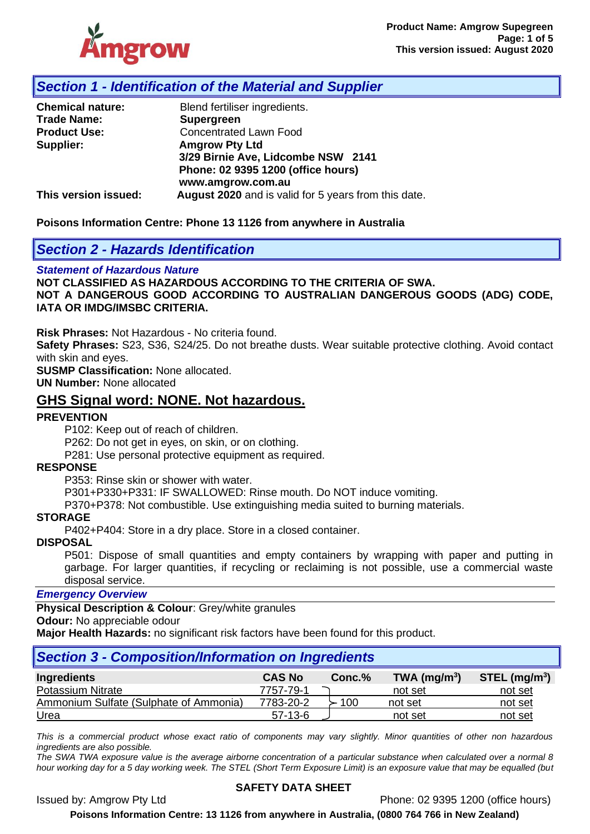

## *Section 1 - Identification of the Material and Supplier*

| <b>Chemical nature:</b> | Blend fertiliser ingredients.                        |
|-------------------------|------------------------------------------------------|
| <b>Trade Name:</b>      | <b>Supergreen</b>                                    |
| <b>Product Use:</b>     | <b>Concentrated Lawn Food</b>                        |
| Supplier:               | <b>Amgrow Pty Ltd</b>                                |
|                         | 3/29 Birnie Ave, Lidcombe NSW 2141                   |
|                         | Phone: 02 9395 1200 (office hours)                   |
|                         | www.amgrow.com.au                                    |
| This version issued:    | August 2020 and is valid for 5 years from this date. |

#### **Poisons Information Centre: Phone 13 1126 from anywhere in Australia**

## *Section 2 - Hazards Identification*

#### *Statement of Hazardous Nature*

**NOT CLASSIFIED AS HAZARDOUS ACCORDING TO THE CRITERIA OF SWA. NOT A DANGEROUS GOOD ACCORDING TO AUSTRALIAN DANGEROUS GOODS (ADG) CODE, IATA OR IMDG/IMSBC CRITERIA.**

**Risk Phrases:** Not Hazardous - No criteria found.

**Safety Phrases:** S23, S36, S24/25. Do not breathe dusts. Wear suitable protective clothing. Avoid contact with skin and eyes.

**SUSMP Classification:** None allocated.

**UN Number:** None allocated

## **GHS Signal word: NONE. Not hazardous.**

#### **PREVENTION**

P102: Keep out of reach of children.

P262: Do not get in eyes, on skin, or on clothing.

P281: Use personal protective equipment as required.

#### **RESPONSE**

P353: Rinse skin or shower with water.

P301+P330+P331: IF SWALLOWED: Rinse mouth. Do NOT induce vomiting.

P370+P378: Not combustible. Use extinguishing media suited to burning materials.

#### **STORAGE**

P402+P404: Store in a dry place. Store in a closed container.

#### **DISPOSAL**

P501: Dispose of small quantities and empty containers by wrapping with paper and putting in garbage. For larger quantities, if recycling or reclaiming is not possible, use a commercial waste disposal service.

#### *Emergency Overview*

**Physical Description & Colour**: Grey/white granules

**Odour:** No appreciable odour

**Major Health Hazards:** no significant risk factors have been found for this product.

| Section 3 - Composition/Information on Ingredients |               |        |                 |                |  |  |
|----------------------------------------------------|---------------|--------|-----------------|----------------|--|--|
| Ingredients                                        | <b>CAS No</b> | Conc.% | TWA ( $mg/m3$ ) | STEL $(mg/m3)$ |  |  |
| <b>Potassium Nitrate</b>                           | 7757-79-1     |        | not set         | not set        |  |  |
| Ammonium Sulfate (Sulphate of Ammonia)             | 7783-20-2     | 100    | not set         | not set        |  |  |
| Urea                                               | $57-13-6$     |        | not set         | not set        |  |  |

*This is a commercial product whose exact ratio of components may vary slightly. Minor quantities of other non hazardous ingredients are also possible.*

*The SWA TWA exposure value is the average airborne concentration of a particular substance when calculated over a normal 8 hour working day for a 5 day working week. The STEL (Short Term Exposure Limit) is an exposure value that may be equalled (but* 

**SAFETY DATA SHEET**

Issued by: Amgrow Pty Ltd Phone: 02 9395 1200 (office hours)

**Poisons Information Centre: 13 1126 from anywhere in Australia, (0800 764 766 in New Zealand)**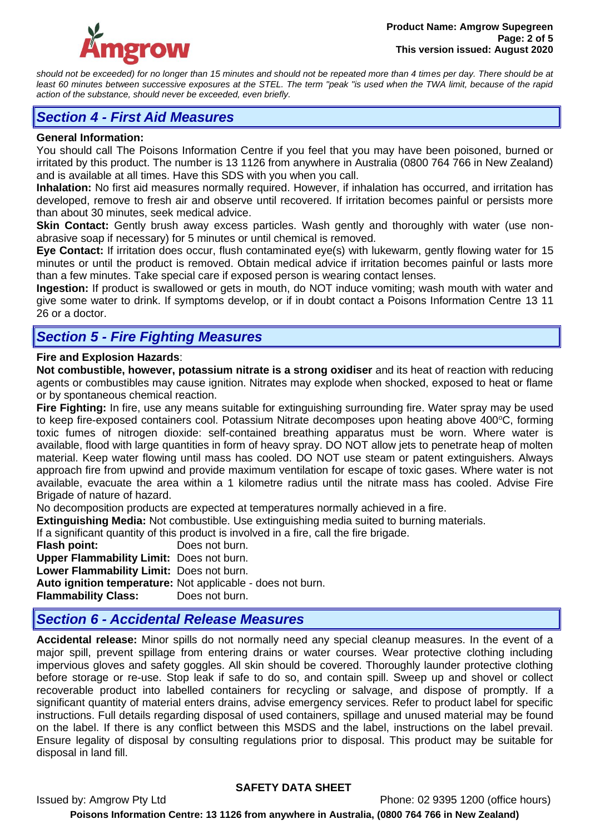

*should not be exceeded) for no longer than 15 minutes and should not be repeated more than 4 times per day. There should be at least 60 minutes between successive exposures at the STEL. The term "peak "is used when the TWA limit, because of the rapid action of the substance, should never be exceeded, even briefly.*

## *Section 4 - First Aid Measures*

#### **General Information:**

You should call The Poisons Information Centre if you feel that you may have been poisoned, burned or irritated by this product. The number is 13 1126 from anywhere in Australia (0800 764 766 in New Zealand) and is available at all times. Have this SDS with you when you call.

**Inhalation:** No first aid measures normally required. However, if inhalation has occurred, and irritation has developed, remove to fresh air and observe until recovered. If irritation becomes painful or persists more than about 30 minutes, seek medical advice.

**Skin Contact:** Gently brush away excess particles. Wash gently and thoroughly with water (use nonabrasive soap if necessary) for 5 minutes or until chemical is removed.

**Eye Contact:** If irritation does occur, flush contaminated eye(s) with lukewarm, gently flowing water for 15 minutes or until the product is removed. Obtain medical advice if irritation becomes painful or lasts more than a few minutes. Take special care if exposed person is wearing contact lenses.

**Ingestion:** If product is swallowed or gets in mouth, do NOT induce vomiting; wash mouth with water and give some water to drink. If symptoms develop, or if in doubt contact a Poisons Information Centre 13 11 26 or a doctor.

## *Section 5 - Fire Fighting Measures*

#### **Fire and Explosion Hazards**:

**Not combustible, however, potassium nitrate is a strong oxidiser** and its heat of reaction with reducing agents or combustibles may cause ignition. Nitrates may explode when shocked, exposed to heat or flame or by spontaneous chemical reaction.

**Fire Fighting:** In fire, use any means suitable for extinguishing surrounding fire. Water spray may be used to keep fire-exposed containers cool. Potassium Nitrate decomposes upon heating above 400°C, forming toxic fumes of nitrogen dioxide: self-contained breathing apparatus must be worn. Where water is available, flood with large quantities in form of heavy spray. DO NOT allow jets to penetrate heap of molten material. Keep water flowing until mass has cooled. DO NOT use steam or patent extinguishers. Always approach fire from upwind and provide maximum ventilation for escape of toxic gases. Where water is not available, evacuate the area within a 1 kilometre radius until the nitrate mass has cooled. Advise Fire Brigade of nature of hazard.

No decomposition products are expected at temperatures normally achieved in a fire.

**Extinguishing Media:** Not combustible. Use extinguishing media suited to burning materials.

If a significant quantity of this product is involved in a fire, call the fire brigade.

**Flash point:** Does not burn. **Upper Flammability Limit:** Does not burn. **Lower Flammability Limit:** Does not burn. **Auto ignition temperature:** Not applicable - does not burn.

**Flammability Class:** Does not burn.

## *Section 6 - Accidental Release Measures*

**Accidental release:** Minor spills do not normally need any special cleanup measures. In the event of a major spill, prevent spillage from entering drains or water courses. Wear protective clothing including impervious gloves and safety goggles. All skin should be covered. Thoroughly launder protective clothing before storage or re-use. Stop leak if safe to do so, and contain spill. Sweep up and shovel or collect recoverable product into labelled containers for recycling or salvage, and dispose of promptly. If a significant quantity of material enters drains, advise emergency services. Refer to product label for specific instructions. Full details regarding disposal of used containers, spillage and unused material may be found on the label. If there is any conflict between this MSDS and the label, instructions on the label prevail. Ensure legality of disposal by consulting regulations prior to disposal. This product may be suitable for disposal in land fill.

#### **SAFETY DATA SHEET**

Issued by: Amgrow Pty Ltd Phone: 02 9395 1200 (office hours) **Poisons Information Centre: 13 1126 from anywhere in Australia, (0800 764 766 in New Zealand)**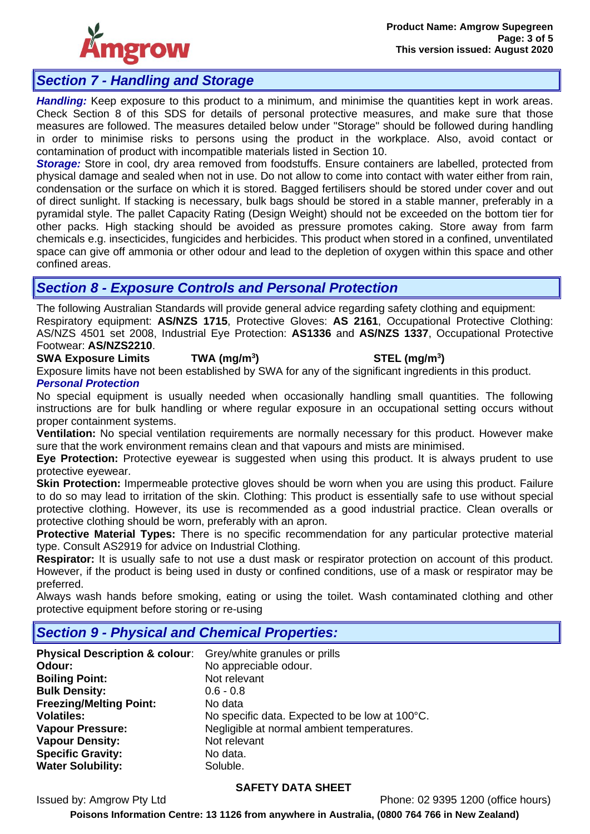

# *Section 7 - Handling and Storage*

**Handling:** Keep exposure to this product to a minimum, and minimise the quantities kept in work areas. Check Section 8 of this SDS for details of personal protective measures, and make sure that those measures are followed. The measures detailed below under "Storage" should be followed during handling in order to minimise risks to persons using the product in the workplace. Also, avoid contact or contamination of product with incompatible materials listed in Section 10.

*Storage:* Store in cool, dry area removed from foodstuffs. Ensure containers are labelled, protected from physical damage and sealed when not in use. Do not allow to come into contact with water either from rain, condensation or the surface on which it is stored. Bagged fertilisers should be stored under cover and out of direct sunlight. If stacking is necessary, bulk bags should be stored in a stable manner, preferably in a pyramidal style. The pallet Capacity Rating (Design Weight) should not be exceeded on the bottom tier for other packs. High stacking should be avoided as pressure promotes caking. Store away from farm chemicals e.g. insecticides, fungicides and herbicides. This product when stored in a confined, unventilated space can give off ammonia or other odour and lead to the depletion of oxygen within this space and other confined areas.

## *Section 8 - Exposure Controls and Personal Protection*

The following Australian Standards will provide general advice regarding safety clothing and equipment: Respiratory equipment: **AS/NZS 1715**, Protective Gloves: **AS 2161**, Occupational Protective Clothing: AS/NZS 4501 set 2008, Industrial Eye Protection: **AS1336** and **AS/NZS 1337**, Occupational Protective Footwear: **AS/NZS2210**.

#### **SWA Exposure Limits TWA (mg/m<sup>3</sup>**

#### **) STEL (mg/m<sup>3</sup> )**

Exposure limits have not been established by SWA for any of the significant ingredients in this product. *Personal Protection*

No special equipment is usually needed when occasionally handling small quantities. The following instructions are for bulk handling or where regular exposure in an occupational setting occurs without proper containment systems.

**Ventilation:** No special ventilation requirements are normally necessary for this product. However make sure that the work environment remains clean and that vapours and mists are minimised.

**Eye Protection:** Protective eyewear is suggested when using this product. It is always prudent to use protective eyewear.

**Skin Protection:** Impermeable protective gloves should be worn when you are using this product. Failure to do so may lead to irritation of the skin. Clothing: This product is essentially safe to use without special protective clothing. However, its use is recommended as a good industrial practice. Clean overalls or protective clothing should be worn, preferably with an apron.

**Protective Material Types:** There is no specific recommendation for any particular protective material type. Consult AS2919 for advice on Industrial Clothing.

**Respirator:** It is usually safe to not use a dust mask or respirator protection on account of this product. However, if the product is being used in dusty or confined conditions, use of a mask or respirator may be preferred.

Always wash hands before smoking, eating or using the toilet. Wash contaminated clothing and other protective equipment before storing or re-using

## *Section 9 - Physical and Chemical Properties:*

| <b>Physical Description &amp; colour:</b> Grey/white granules or prills |                                                |
|-------------------------------------------------------------------------|------------------------------------------------|
| Odour:                                                                  | No appreciable odour.                          |
| <b>Boiling Point:</b>                                                   | Not relevant                                   |
| <b>Bulk Density:</b>                                                    | $0.6 - 0.8$                                    |
| <b>Freezing/Melting Point:</b>                                          | No data                                        |
| <b>Volatiles:</b>                                                       | No specific data. Expected to be low at 100°C. |
| <b>Vapour Pressure:</b>                                                 | Negligible at normal ambient temperatures.     |
| <b>Vapour Density:</b>                                                  | Not relevant                                   |
| <b>Specific Gravity:</b>                                                | No data.                                       |
| <b>Water Solubility:</b>                                                | Soluble.                                       |

#### **SAFETY DATA SHEET**

Issued by: Amgrow Pty Ltd Phone: 02 9395 1200 (office hours)

**Poisons Information Centre: 13 1126 from anywhere in Australia, (0800 764 766 in New Zealand)**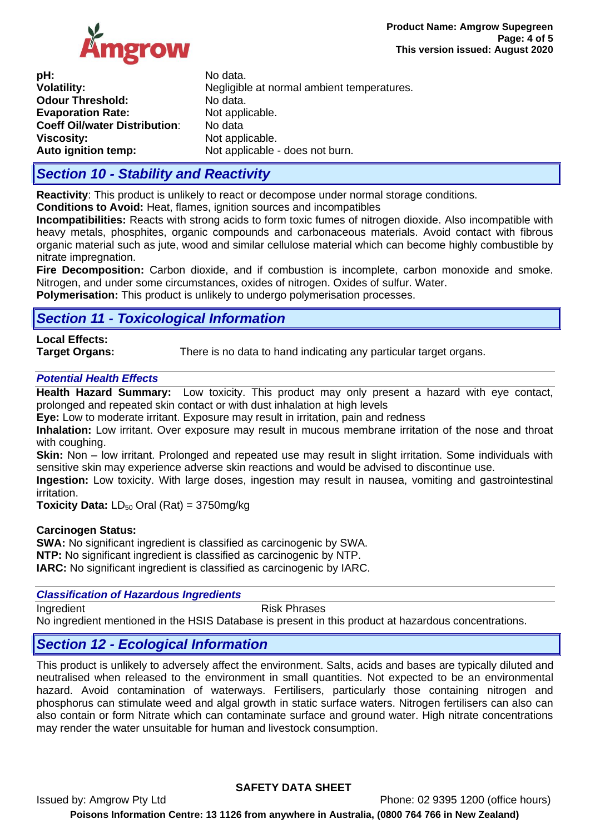

**pH:** No data.<br> **Volatility:** Negligibl **Odour Threshold:** No data.<br> **Evaporation Rate:** Not applicable. **Evaporation Rate: Not applicable Rate:** Not applicable. **Coeff Oil/water Distribution: Viscosity:** Not applicable.<br> **Auto ignition temp:** Not applicable in Not applicable

Negligible at normal ambient temperatures. Not applicable - does not burn.

## *Section 10 - Stability and Reactivity*

**Reactivity**: This product is unlikely to react or decompose under normal storage conditions.

**Conditions to Avoid:** Heat, flames, ignition sources and incompatibles

**Incompatibilities:** Reacts with strong acids to form toxic fumes of nitrogen dioxide. Also incompatible with heavy metals, phosphites, organic compounds and carbonaceous materials. Avoid contact with fibrous organic material such as jute, wood and similar cellulose material which can become highly combustible by nitrate impregnation.

**Fire Decomposition:** Carbon dioxide, and if combustion is incomplete, carbon monoxide and smoke. Nitrogen, and under some circumstances, oxides of nitrogen. Oxides of sulfur. Water. **Polymerisation:** This product is unlikely to undergo polymerisation processes.

## *Section 11 - Toxicological Information*

# **Local Effects:**

**Target Organs:** There is no data to hand indicating any particular target organs.

#### *Potential Health Effects*

**Health Hazard Summary:** Low toxicity. This product may only present a hazard with eye contact, prolonged and repeated skin contact or with dust inhalation at high levels

**Eye:** Low to moderate irritant. Exposure may result in irritation, pain and redness

**Inhalation:** Low irritant. Over exposure may result in mucous membrane irritation of the nose and throat with coughing.

**Skin:** Non – low irritant. Prolonged and repeated use may result in slight irritation. Some individuals with sensitive skin may experience adverse skin reactions and would be advised to discontinue use.

**Ingestion:** Low toxicity. With large doses, ingestion may result in nausea, vomiting and gastrointestinal irritation.

**Toxicity Data:**  $LD_{50}$  Oral (Rat) =  $3750$ mg/kg

#### **Carcinogen Status:**

**SWA:** No significant ingredient is classified as carcinogenic by SWA. **NTP:** No significant ingredient is classified as carcinogenic by NTP. **IARC:** No significant ingredient is classified as carcinogenic by IARC.

*Classification of Hazardous Ingredients*

Ingredient **Risk Phrases** 

No ingredient mentioned in the HSIS Database is present in this product at hazardous concentrations.

## *Section 12 - Ecological Information*

This product is unlikely to adversely affect the environment. Salts, acids and bases are typically diluted and neutralised when released to the environment in small quantities. Not expected to be an environmental hazard. Avoid contamination of waterways. Fertilisers, particularly those containing nitrogen and phosphorus can stimulate weed and algal growth in static surface waters. Nitrogen fertilisers can also can also contain or form Nitrate which can contaminate surface and ground water. High nitrate concentrations may render the water unsuitable for human and livestock consumption.

**SAFETY DATA SHEET**

Issued by: Amgrow Pty Ltd Phone: 02 9395 1200 (office hours) **Poisons Information Centre: 13 1126 from anywhere in Australia, (0800 764 766 in New Zealand)**